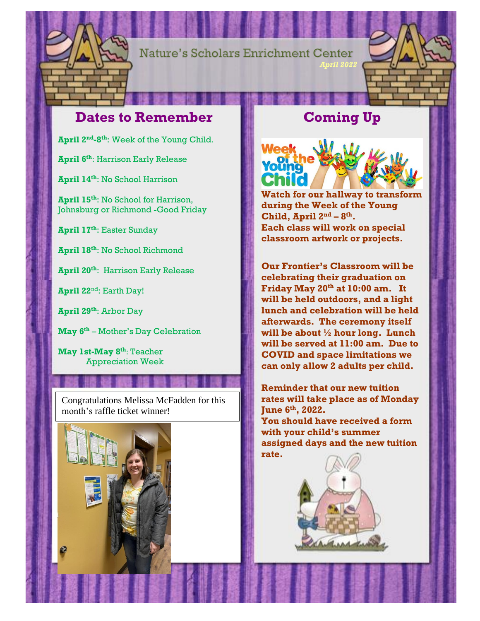

**Nature's Scholars Enrichment Center** 

## **Dates to Remember**

**April 2nd-8 th**: Week of the Young Child.

**April 6th**: Harrison Early Release

**April 14th**: No School Harrison

**April 15th**: No School for Harrison, Johnsburg or Richmond -Good Friday

**April 17th**: Easter Sunday

**April 18th**: No School Richmond

**April 20th**: Harrison Early Release

**April 22**nd: Earth Day!

**April 29th**: Arbor Day

**May 6th** – Mother's Day Celebration

**May 1st-May 8 th**: Teacher Appreciation Week

Congratulations Melissa McFadden for this month's raffle ticket winner!



## **Coming Up**

*April 2022*



**Watch for our hallway to transform during the Week of the Young Child, April**  $2^{nd} - 8^{th}$ . **Each class will work on special classroom artwork or projects.** 

**Our Frontier's Classroom will be celebrating their graduation on Friday May 20th at 10:00 am. It will be held outdoors, and a light lunch and celebration will be held afterwards. The ceremony itself will be about ½ hour long. Lunch will be served at 11:00 am. Due to COVID and space limitations we can only allow 2 adults per child.** 

**Reminder that our new tuition rates will take place as of Monday June 6 th, 2022.** 

**You should have received a form with your child's summer assigned days and the new tuition rate.** 

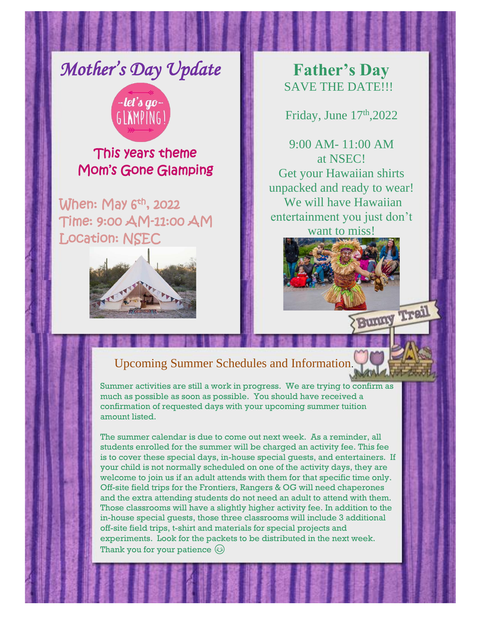*Mother's Day Update* 



This years theme Mom's Gone Glamping

When: May  $6<sup>th</sup>$ , 2022 Time: 9:00 AM-11:00 AM Location: NSEC



**Father's Day**  SAVE THE DATE!!!

Friday, June  $17<sup>th</sup>$ , 2022

9:00 AM- 11:00 AM at NSEC! Get your Hawaiian shirts unpacked and ready to wear! We will have Hawaiian entertainment you just don't want to miss!



# Upcoming Summer Schedules and Information.

Summer activities are still a work in progress. We are trying to confirm as much as possible as soon as possible. You should have received a confirmation of requested days with your upcoming summer tuition amount listed.

The summer calendar is due to come out next week. As a reminder, all students enrolled for the summer will be charged an activity fee. This fee is to cover these special days, in-house special guests, and entertainers. If your child is not normally scheduled on one of the activity days, they are welcome to join us if an adult attends with them for that specific time only. Off-site field trips for the Frontiers, Rangers & OG will need chaperones and the extra attending students do not need an adult to attend with them. Those classrooms will have a slightly higher activity fee. In addition to the in-house special guests, those three classrooms will include 3 additional off-site field trips, t-shirt and materials for special projects and experiments. Look for the packets to be distributed in the next week. Thank you for your patience  $\circledS$